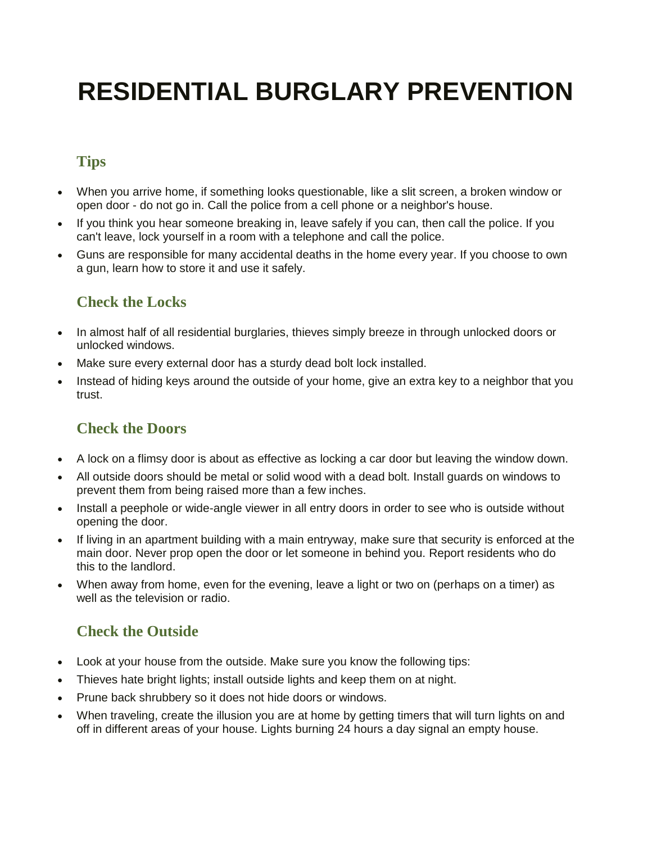# **RESIDENTIAL BURGLARY PREVENTION**

## **Tips**

- When you arrive home, if something looks questionable, like a slit screen, a broken window or open door - do not go in. Call the police from a cell phone or a neighbor's house.
- If you think you hear someone breaking in, leave safely if you can, then call the police. If you can't leave, lock yourself in a room with a telephone and call the police.
- Guns are responsible for many accidental deaths in the home every year. If you choose to own a gun, learn how to store it and use it safely.

### **Check the Locks**

- In almost half of all residential burglaries, thieves simply breeze in through unlocked doors or unlocked windows.
- Make sure every external door has a sturdy dead bolt lock installed.
- Instead of hiding keys around the outside of your home, give an extra key to a neighbor that you trust.

## **Check the Doors**

- A lock on a flimsy door is about as effective as locking a car door but leaving the window down.
- All outside doors should be metal or solid wood with a dead bolt. Install guards on windows to prevent them from being raised more than a few inches.
- Install a peephole or wide-angle viewer in all entry doors in order to see who is outside without opening the door.
- If living in an apartment building with a main entryway, make sure that security is enforced at the main door. Never prop open the door or let someone in behind you. Report residents who do this to the landlord.
- When away from home, even for the evening, leave a light or two on (perhaps on a timer) as well as the television or radio.

## **Check the Outside**

- Look at your house from the outside. Make sure you know the following tips:
- Thieves hate bright lights; install outside lights and keep them on at night.
- Prune back shrubbery so it does not hide doors or windows.
- When traveling, create the illusion you are at home by getting timers that will turn lights on and off in different areas of your house. Lights burning 24 hours a day signal an empty house.